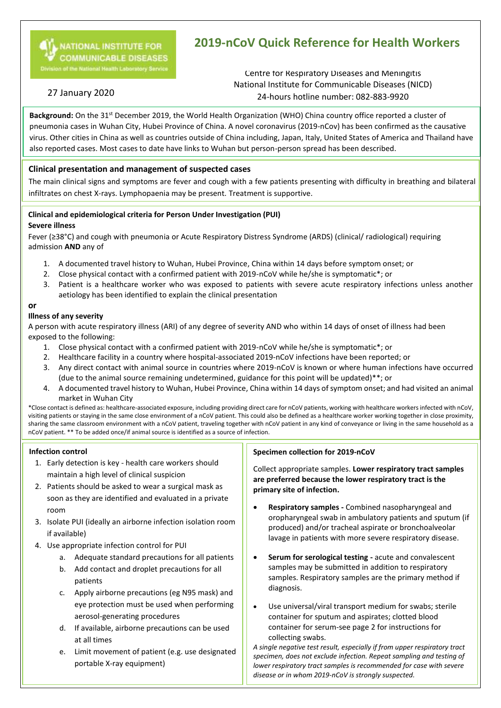

# **2019-nCoV Quick Reference for Health Workers**

Centre for Respiratory Diseases and Meningitis National Institute for Communicable Diseases (NICD) 24-hours hotline number: 082-883-9920

# 27 January 2020

Background: On the 31<sup>st</sup> December 2019, the World Health Organization (WHO) China country office reported a cluster of pneumonia cases in Wuhan City, Hubei Province of China. A novel coronavirus (2019-nCov) has been confirmed as the causative virus. Other cities in China as well as countries outside of China including, Japan, Italy, United States of America and Thailand have also reported cases. Most cases to date have links to Wuhan but person-person spread has been described.

## **Clinical presentation and management of suspected cases**

The main clinical signs and symptoms are fever and cough with a few patients presenting with difficulty in breathing and bilateral infiltrates on chest X-rays. Lymphopaenia may be present. Treatment is supportive.

#### **Clinical and epidemiological criteria for Person Under Investigation (PUI)**

#### **Severe illness**

Fever (≥38°C) and cough with pneumonia or Acute Respiratory Distress Syndrome (ARDS) (clinical/ radiological) requiring admission **AND** any of

- 1. A documented travel history to Wuhan, Hubei Province, China within 14 days before symptom onset; or
- 2. Close physical contact with a confirmed patient with 2019-nCoV while he/she is symptomatic\*; or
- 3. Patient is a healthcare worker who was exposed to patients with severe acute respiratory infections unless another aetiology has been identified to explain the clinical presentation

#### **or**

### **Illness of any severity**

A person with acute respiratory illness (ARI) of any degree of severity AND who within 14 days of onset of illness had been exposed to the following:

- 1. Close physical contact with a confirmed patient with 2019-nCoV while he/she is symptomatic\*; or
- 2. Healthcare facility in a country where hospital-associated 2019-nCoV infections have been reported; or
- 3. Any direct contact with animal source in countries where 2019-nCoV is known or where human infections have occurred (due to the animal source remaining undetermined, guidance for this point will be updated)\*\*; or
- 4. A documented travel history to Wuhan, Hubei Province, China within 14 days of symptom onset; and had visited an animal market in Wuhan City

\*Close contact is defined as: healthcare-associated exposure, including providing direct care for nCoV patients, working with healthcare workers infected with nCoV, visiting patients or staying in the same close environment of a nCoV patient. This could also be defined as a healthcare worker working together in close proximity, sharing the same classroom environment with a nCoV patient, traveling together with nCoV patient in any kind of conveyance or living in the same household as a nCoV patient. \*\* To be added once/if animal source is identified as a source of infection.

Ĩ.

#### **Infection control**

- 1. Early detection is key health care workers should maintain a high level of clinical suspicion
- 2. Patients should be asked to wear a surgical mask as soon as they are identified and evaluated in a private room
- 3. Isolate PUI (ideally an airborne infection isolation room if available)
- 4. Use appropriate infection control for PUI
	- a. Adequate standard precautions for all patients
	- b. Add contact and droplet precautions for all patients
	- c. Apply airborne precautions (eg N95 mask) and eye protection must be used when performing aerosol-generating procedures
	- d. If available, airborne precautions can be used at all times
	- e. Limit movement of patient (e.g. use designated portable X-ray equipment)

#### **Specimen collection for 2019-nCoV**

Collect appropriate samples. **Lower respiratory tract samples are preferred because the lower respiratory tract is the primary site of infection.**

- **Respiratory samples -** Combined nasopharyngeal and oropharyngeal swab in ambulatory patients and sputum (if produced) and/or tracheal aspirate or bronchoalveolar lavage in patients with more severe respiratory disease.
- **Serum for serological testing -** acute and convalescent samples may be submitted in addition to respiratory samples. Respiratory samples are the primary method if diagnosis.
- Use universal/viral transport medium for swabs; sterile container for sputum and aspirates; clotted blood container for serum-see page 2 for instructions for collecting swabs.

*A single negative test result, especially if from upper respiratory tract specimen, does not exclude infection. Repeat sampling and testing of lower respiratory tract samples is recommended for case with severe disease or in whom 2019-nCoV is strongly suspected.*